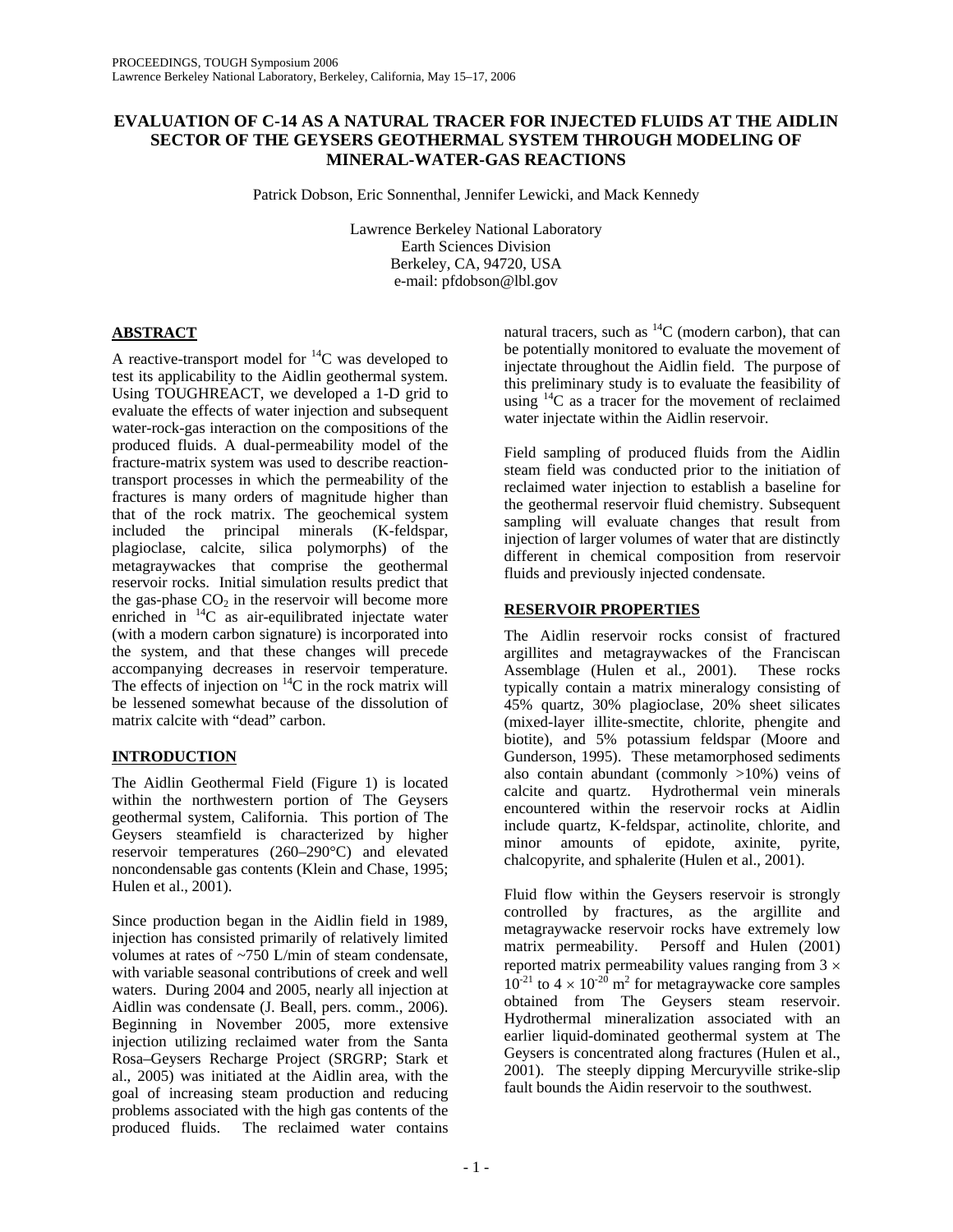# **EVALUATION OF C-14 AS A NATURAL TRACER FOR INJECTED FLUIDS AT THE AIDLIN SECTOR OF THE GEYSERS GEOTHERMAL SYSTEM THROUGH MODELING OF MINERAL-WATER-GAS REACTIONS**

Patrick Dobson, Eric Sonnenthal, Jennifer Lewicki, and Mack Kennedy

Lawrence Berkeley National Laboratory Earth Sciences Division Berkeley, CA, 94720, USA e-mail: pfdobson@lbl.gov

### **ABSTRACT**

A reactive-transport model for  ${}^{14}C$  was developed to test its applicability to the Aidlin geothermal system. Using TOUGHREACT, we developed a 1-D grid to evaluate the effects of water injection and subsequent water-rock-gas interaction on the compositions of the produced fluids. A dual-permeability model of the fracture-matrix system was used to describe reactiontransport processes in which the permeability of the fractures is many orders of magnitude higher than that of the rock matrix. The geochemical system included the principal minerals (K-feldspar, plagioclase, calcite, silica polymorphs) of the metagraywackes that comprise the geothermal reservoir rocks. Initial simulation results predict that the gas-phase  $CO<sub>2</sub>$  in the reservoir will become more enriched in  $^{14}$ C as air-equilibrated injectate water (with a modern carbon signature) is incorporated into the system, and that these changes will precede accompanying decreases in reservoir temperature. The effects of injection on  $^{14}$ C in the rock matrix will be lessened somewhat because of the dissolution of matrix calcite with "dead" carbon.

# **INTRODUCTION**

The Aidlin Geothermal Field (Figure 1) is located within the northwestern portion of The Geysers geothermal system, California. This portion of The Geysers steamfield is characterized by higher reservoir temperatures (260–290°C) and elevated noncondensable gas contents (Klein and Chase, 1995; Hulen et al., 2001).

Since production began in the Aidlin field in 1989, injection has consisted primarily of relatively limited volumes at rates of ~750 L/min of steam condensate, with variable seasonal contributions of creek and well waters. During 2004 and 2005, nearly all injection at Aidlin was condensate (J. Beall, pers. comm., 2006). Beginning in November 2005, more extensive injection utilizing reclaimed water from the Santa Rosa–Geysers Recharge Project (SRGRP; Stark et al., 2005) was initiated at the Aidlin area, with the goal of increasing steam production and reducing problems associated with the high gas contents of the produced fluids. The reclaimed water contains

natural tracers, such as  ${}^{14}C$  (modern carbon), that can be potentially monitored to evaluate the movement of injectate throughout the Aidlin field. The purpose of this preliminary study is to evaluate the feasibility of using  $^{14}$ C as a tracer for the movement of reclaimed water injectate within the Aidlin reservoir.

Field sampling of produced fluids from the Aidlin steam field was conducted prior to the initiation of reclaimed water injection to establish a baseline for the geothermal reservoir fluid chemistry. Subsequent sampling will evaluate changes that result from injection of larger volumes of water that are distinctly different in chemical composition from reservoir fluids and previously injected condensate.

## **RESERVOIR PROPERTIES**

The Aidlin reservoir rocks consist of fractured argillites and metagraywackes of the Franciscan Assemblage (Hulen et al., 2001). These rocks typically contain a matrix mineralogy consisting of 45% quartz, 30% plagioclase, 20% sheet silicates (mixed-layer illite-smectite, chlorite, phengite and biotite), and 5% potassium feldspar (Moore and Gunderson, 1995). These metamorphosed sediments also contain abundant (commonly >10%) veins of calcite and quartz. Hydrothermal vein minerals encountered within the reservoir rocks at Aidlin include quartz, K-feldspar, actinolite, chlorite, and minor amounts of epidote, axinite, pyrite, chalcopyrite, and sphalerite (Hulen et al., 2001).

Fluid flow within the Geysers reservoir is strongly controlled by fractures, as the argillite and metagraywacke reservoir rocks have extremely low matrix permeability. Persoff and Hulen (2001) reported matrix permeability values ranging from  $3 \times$  $10^{-21}$  to  $4 \times 10^{-20}$  m<sup>2</sup> for metagraywacke core samples obtained from The Geysers steam reservoir. Hydrothermal mineralization associated with an earlier liquid-dominated geothermal system at The Geysers is concentrated along fractures (Hulen et al., 2001). The steeply dipping Mercuryville strike-slip fault bounds the Aidin reservoir to the southwest.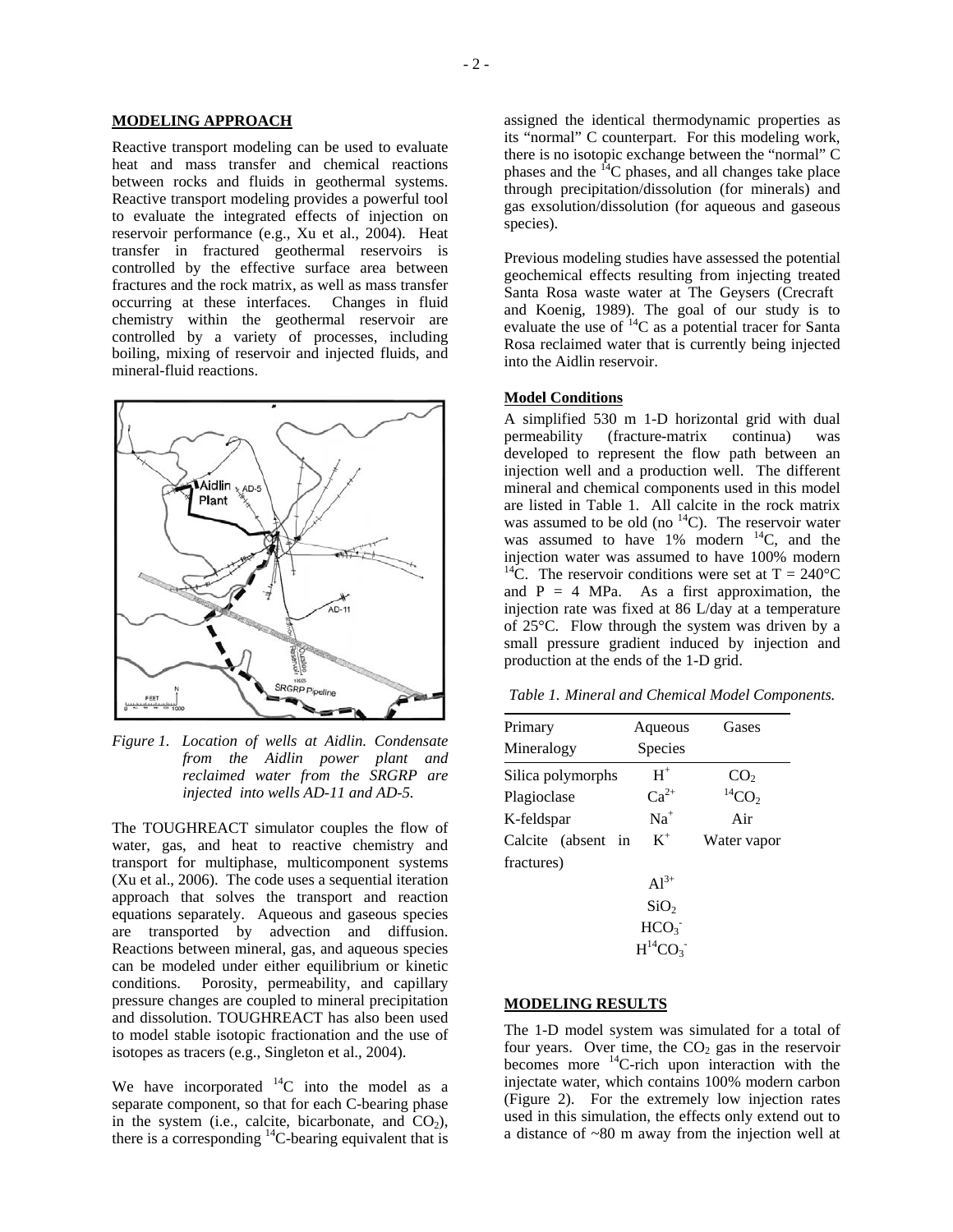#### **MODELING APPROACH**

Reactive transport modeling can be used to evaluate heat and mass transfer and chemical reactions between rocks and fluids in geothermal systems. Reactive transport modeling provides a powerful tool to evaluate the integrated effects of injection on reservoir performance (e.g., Xu et al., 2004). Heat transfer in fractured geothermal reservoirs is controlled by the effective surface area between fractures and the rock matrix, as well as mass transfer occurring at these interfaces. Changes in fluid chemistry within the geothermal reservoir are controlled by a variety of processes, including boiling, mixing of reservoir and injected fluids, and mineral-fluid reactions.



*Figure 1. Location of wells at Aidlin. Condensate from the Aidlin power plant and reclaimed water from the SRGRP are injected into wells AD-11 and AD-5.* 

The TOUGHREACT simulator couples the flow of water, gas, and heat to reactive chemistry and transport for multiphase, multicomponent systems (Xu et al., 2006). The code uses a sequential iteration approach that solves the transport and reaction equations separately. Aqueous and gaseous species are transported by advection and diffusion. Reactions between mineral, gas, and aqueous species can be modeled under either equilibrium or kinetic conditions. Porosity, permeability, and capillary pressure changes are coupled to mineral precipitation and dissolution. TOUGHREACT has also been used to model stable isotopic fractionation and the use of isotopes as tracers (e.g., Singleton et al., 2004).

We have incorporated  $^{14}$ C into the model as a separate component, so that for each C-bearing phase in the system (i.e., calcite, bicarbonate, and  $CO<sub>2</sub>$ ), there is a corresponding  ${}^{14}$ C-bearing equivalent that is

assigned the identical thermodynamic properties as its "normal" C counterpart. For this modeling work, there is no isotopic exchange between the "normal" C phases and the  $14$ C phases, and all changes take place through precipitation/dissolution (for minerals) and gas exsolution/dissolution (for aqueous and gaseous species).

Previous modeling studies have assessed the potential geochemical effects resulting from injecting treated Santa Rosa waste water at The Geysers (Crecraft and Koenig, 1989). The goal of our study is to evaluate the use of  $^{14}$ C as a potential tracer for Santa Rosa reclaimed water that is currently being injected into the Aidlin reservoir.

#### **Model Conditions**

A simplified 530 m 1-D horizontal grid with dual permeability (fracture-matrix continua) was developed to represent the flow path between an injection well and a production well. The different mineral and chemical components used in this model are listed in Table 1. All calcite in the rock matrix was assumed to be old (no  $^{14}$ C). The reservoir water was assumed to have  $1\%$  modern  $14C$ , and the injection water was assumed to have 100% modern <sup>14</sup>C. The reservoir conditions were set at  $T = 240^{\circ}C$ and  $P = 4$  MPa. As a first approximation, the injection rate was fixed at 86 L/day at a temperature of 25°C. Flow through the system was driven by a small pressure gradient induced by injection and production at the ends of the 1-D grid.

*Table 1. Mineral and Chemical Model Components.* 

| Primary            | Aqueous          | Gases                               |
|--------------------|------------------|-------------------------------------|
| Mineralogy         | Species          |                                     |
| Silica polymorphs  | $H^+$            |                                     |
| Plagioclase        | $Ca^{2+}$        | $CO2$ <sup>14</sup> CO <sub>2</sub> |
| K-feldspar         | $Na+$            | Air                                 |
| Calcite (absent in | $K^+$            | Water vapor                         |
| fractures)         |                  |                                     |
|                    | $Al^{3+}$        |                                     |
|                    | SiO <sub>2</sub> |                                     |
|                    | HCO <sub>3</sub> |                                     |
|                    | $H^{14}CO3$      |                                     |

### **MODELING RESULTS**

The 1-D model system was simulated for a total of four years. Over time, the  $CO<sub>2</sub>$  gas in the reservoir becomes more  ${}^{14}$ C-rich upon interaction with the injectate water, which contains 100% modern carbon (Figure 2). For the extremely low injection rates used in this simulation, the effects only extend out to a distance of ~80 m away from the injection well at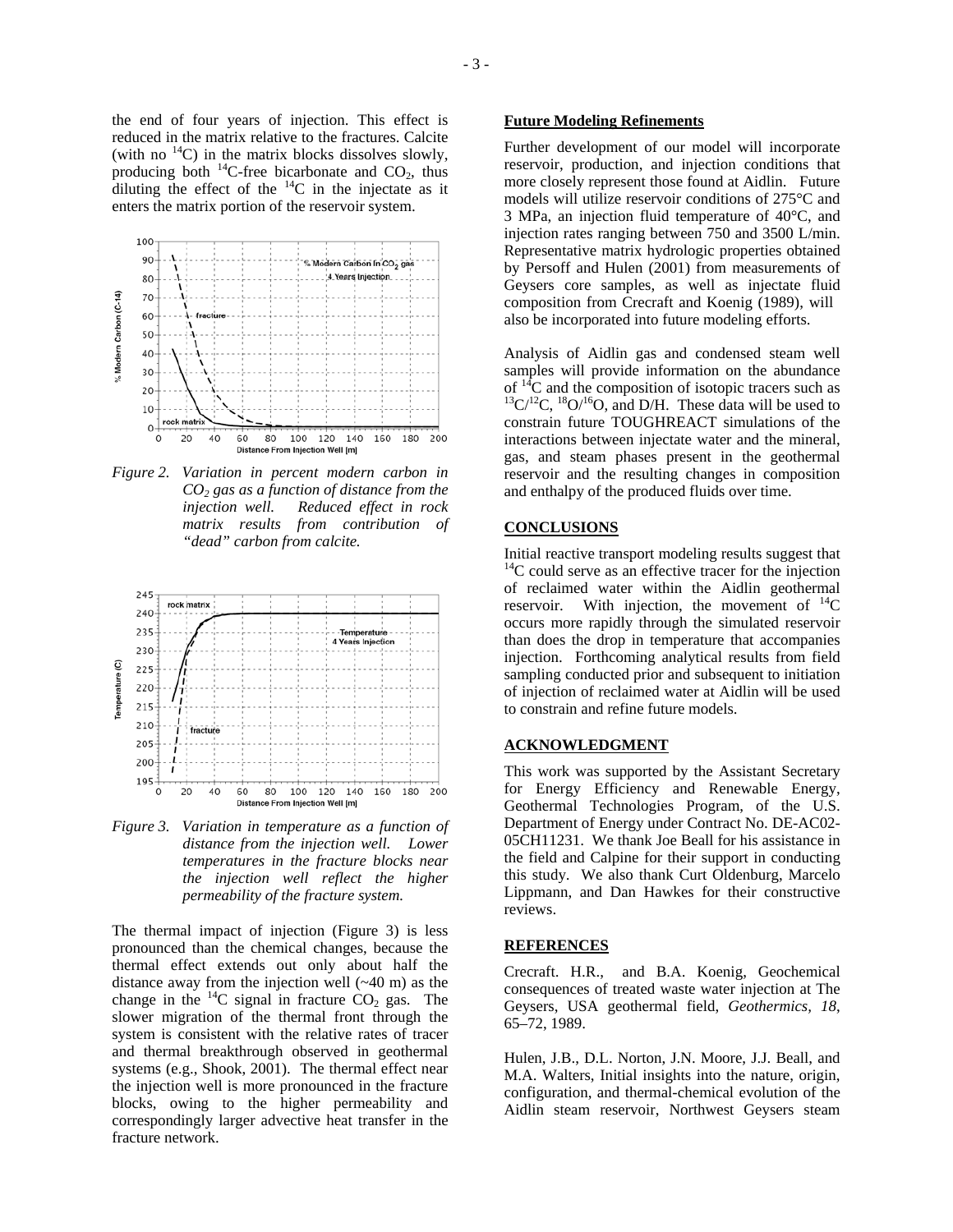the end of four years of injection. This effect is reduced in the matrix relative to the fractures. Calcite (with no  $^{14}$ C) in the matrix blocks dissolves slowly, producing both  $^{14}$ C-free bicarbonate and CO<sub>2</sub>, thus diluting the effect of the  $^{14}$ C in the injectate as it enters the matrix portion of the reservoir system.



*Figure 2. Variation in percent modern carbon in CO2 gas as a function of distance from the injection well. Reduced effect in rock matrix results from contribution of "dead" carbon from calcite.*



*Figure 3. Variation in temperature as a function of distance from the injection well. Lower temperatures in the fracture blocks near the injection well reflect the higher permeability of the fracture system.* 

The thermal impact of injection (Figure 3) is less pronounced than the chemical changes, because the thermal effect extends out only about half the distance away from the injection well (~40 m) as the change in the  $^{14}$ C signal in fracture CO<sub>2</sub> gas. The slower migration of the thermal front through the system is consistent with the relative rates of tracer and thermal breakthrough observed in geothermal systems (e.g., Shook, 2001). The thermal effect near the injection well is more pronounced in the fracture blocks, owing to the higher permeability and correspondingly larger advective heat transfer in the fracture network.

### **Future Modeling Refinements**

Further development of our mo del will incorporate reservoir, production, and injection conditions that more closely represent those found at Aidlin. Future models will utilize reservoir conditions of 275°C and 3 MPa, an injection fluid temperature of 40°C, and injection rates ranging between 750 and 3500 L/min. Representative matrix hydrologic properties obtained by Persoff and Hulen (2001) from measurements of Geysers core samples, as well as injectate fluid composition from Crecraft and Koenig (1989), will also be incorporated into future modeling efforts.

Analysis of Aidlin gas and condensed steam well samples will provide information on the abundance of  ${}^{14}C$  and the composition of isotopic tracers such as  ${}^{13}C/{}^{12}C$ ,  ${}^{18}O/{}^{16}O$ , and D/H. These data will be used to constrain future TOUGHREACT simulations of the interactions between injectate water and the mineral, gas, and steam phases present in the geothermal reservoir and the resulting changes in composition and enthalpy of the produced fluids over time.

#### **CONCLUSIONS**

Initial reactive transport modeling results suggest that  $14C$  could serve as an effective tracer for the injection of reclaimed water within the Aidlin geothermal reservoir. With injection, the movement of  ${}^{14}C$ occurs more rapidly through the simulated reservoir than does the drop in temperature that accompanies injection. Forthcoming analytical results from field sampling conducted prior and subsequent to initiation of injection of reclaimed water at Aidlin will be used to constrain and refine future models.

### **ACKNOWLEDGMENT**

This work was supported b y the Assistant Secretary for Energy Efficiency an d Renewable Energy, Geothermal Technologies Program, of the U.S. Department of Energy under Contract No. DE-AC02- 05CH11231. We thank Joe Beall for his assistance in the field and Calpine for their support in conducting this study. We also thank Curt Oldenburg, Marcelo Lippmann, and Dan Hawkes for their constructive reviews.

#### **NCES REFERE**

Crecraft. H.R., and B.A. Koenig, Geochemical consequences of treated waste water injection at The Geysers, USA geothermal field, *Geothermics, 18*, 65–72, 1989.

Hulen, J.B., D.L. Norton, J.N. Moore, J.J. Beall, and M.A. Walters, Initial insights into the nature, origin, configuration, and thermal-chemical evolution of the Aidlin steam reservoir, Northwest Geysers steam